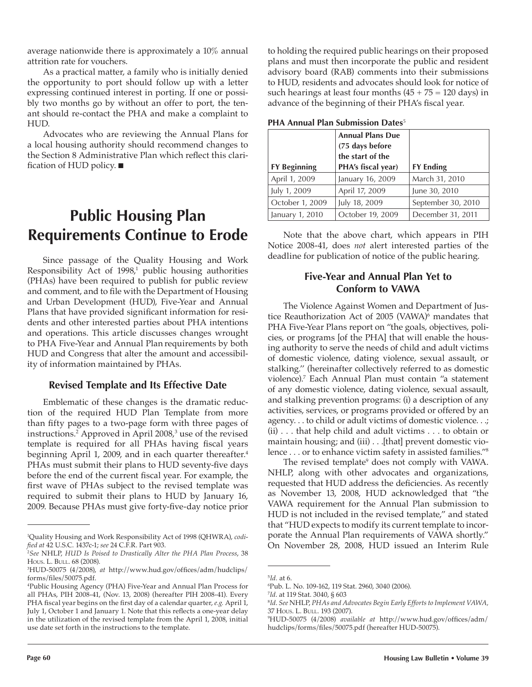average nationwide there is approximately a 10% annual attrition rate for vouchers.

As a practical matter, a family who is initially denied the opportunity to port should follow up with a letter expressing continued interest in porting. If one or possibly two months go by without an offer to port, the tenant should re-contact the PHA and make a complaint to HUD.

Advocates who are reviewing the Annual Plans for a local housing authority should recommend changes to the Section 8 Administrative Plan which reflect this clarification of HUD policy.

# **Public Housing Plan Requirements Continue to Erode**

Since passage of the Quality Housing and Work Responsibility Act of 1998,<sup>1</sup> public housing authorities (PHAs) have been required to publish for public review and comment, and to file with the Department of Housing and Urban Development (HUD), Five-Year and Annual Plans that have provided significant information for residents and other interested parties about PHA intentions and operations. This article discusses changes wrought to PHA Five-Year and Annual Plan requirements by both HUD and Congress that alter the amount and accessibility of information maintained by PHAs.

#### **Revised Template and Its Effective Date**

Emblematic of these changes is the dramatic reduction of the required HUD Plan Template from more than fifty pages to a two-page form with three pages of instructions.2 Approved in April 2008,3 use of the revised template is required for all PHAs having fiscal years beginning April 1, 2009, and in each quarter thereafter.<sup>4</sup> PHAs must submit their plans to HUD seventy-five days before the end of the current fiscal year. For example, the first wave of PHAs subject to the revised template was required to submit their plans to HUD by January 16, 2009. Because PHAs must give forty-five-day notice prior to holding the required public hearings on their proposed plans and must then incorporate the public and resident advisory board (RAB) comments into their submissions to HUD, residents and advocates should look for notice of such hearings at least four months  $(45 + 75 = 120$  days) in advance of the beginning of their PHA's fiscal year.

| <b>PHA Annual Plan Submission Dates</b> <sup>5</sup> |  |  |  |
|------------------------------------------------------|--|--|--|
|------------------------------------------------------|--|--|--|

| <b>FY Beginning</b> | <b>Annual Plans Due</b><br>(75 days before<br>the start of the<br>PHA's fiscal year) | <b>FY Ending</b>   |
|---------------------|--------------------------------------------------------------------------------------|--------------------|
| April 1, 2009       | January 16, 2009                                                                     | March 31, 2010     |
| July 1, 2009        | April 17, 2009                                                                       | June 30, 2010      |
| October 1, 2009     | July 18, 2009                                                                        | September 30, 2010 |
| January 1, 2010     | October 19, 2009                                                                     | December 31, 2011  |

Note that the above chart, which appears in PIH Notice 2008-41, does *not* alert interested parties of the deadline for publication of notice of the public hearing.

#### **Five-Year and Annual Plan Yet to Conform to VAWA**

The Violence Against Women and Department of Justice Reauthorization Act of 2005 (VAWA)<sup>6</sup> mandates that PHA Five-Year Plans report on "the goals, objectives, policies, or programs [of the PHA] that will enable the housing authority to serve the needs of child and adult victims of domestic violence, dating violence, sexual assault, or stalking.'' (hereinafter collectively referred to as domestic violence).7 Each Annual Plan must contain "a statement of any domestic violence, dating violence, sexual assault, and stalking prevention programs: (i) a description of any activities, services, or programs provided or offered by an agency. . . to child or adult victims of domestic violence. . .; (ii) . . . that help child and adult victims . . . to obtain or maintain housing; and (iii) . . .[that] prevent domestic violence . . . or to enhance victim safety in assisted families."8

The revised template<sup>9</sup> does not comply with VAWA. NHLP, along with other advocates and organizations, requested that HUD address the deficiencies. As recently as November 13, 2008, HUD acknowledged that "the VAWA requirement for the Annual Plan submission to HUD is not included in the revised template," and stated that "HUD expects to modify its current template to incorporate the Annual Plan requirements of VAWA shortly." On November 28, 2008, HUD issued an Interim Rule

<sup>1</sup> Quality Housing and Work Responsibility Act of 1998 (QHWRA), *codi ed at* 42 U.S.C. 1437c-1; *see* 24 C.F.R. Part 903.

<sup>2</sup> *See* NHLP, *HUD Is Poised to Drastically Alter the PHA Plan Process*, 38 HOUS. L. BULL. 68 (2008).

<sup>&</sup>lt;sup>3</sup>HUD-50075 (4/2008), at http://www.hud.gov/offices/adm/hudclips/ forms/files/50075.pdf.

<sup>4</sup> Public Housing Agency (PHA) Five-Year and Annual Plan Process for all PHAs, PIH 2008-41, (Nov. 13, 2008) (hereafter PIH 2008-41). Every PHA fiscal year begins on the first day of a calendar quarter, *e.g.* April 1, July 1, October 1 and January 1. Note that this reflects a one-year delay in the utilization of the revised template from the April 1, 2008, initial use date set forth in the instructions to the template.

<sup>5</sup> *Id.* at 6.

<sup>6</sup> Pub. L. No. 109-162, 119 Stat. 2960, 3040 (2006).

<sup>7</sup> *Id*. at 119 Stat. 3040, § 603

<sup>8</sup> *Id*. *See* NHLP, *PHAs and Advocates Begin Early Efforts to Implement VAWA,*  37 HOUS. L. BULL. 193 (2007).

<sup>&</sup>lt;sup>9</sup>HUD-50075 (4/2008) available at http://www.hud.gov/offices/adm/ hudclips/forms/files/50075.pdf (hereafter HUD-50075).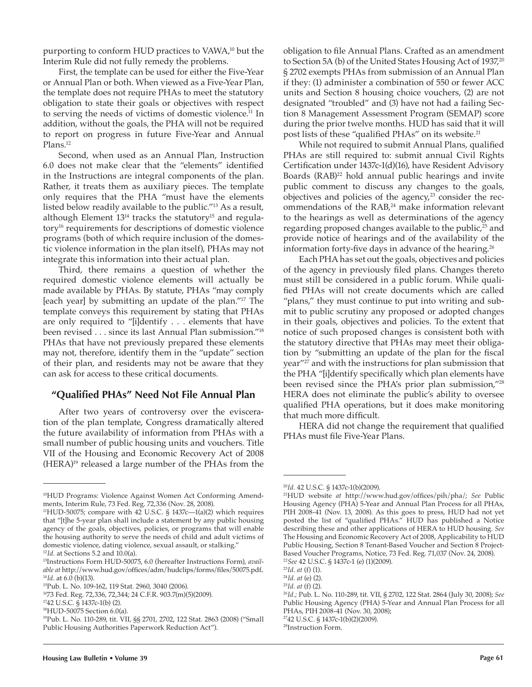purporting to conform HUD practices to VAWA,<sup>10</sup> but the Interim Rule did not fully remedy the problems.

First, the template can be used for either the Five-Year or Annual Plan or both. When viewed as a Five-Year Plan, the template does not require PHAs to meet the statutory obligation to state their goals or objectives with respect to serving the needs of victims of domestic violence.<sup>11</sup> In addition, without the goals, the PHA will not be required to report on progress in future Five-Year and Annual Plans.<sup>12</sup>

Second, when used as an Annual Plan, Instruction 6.0 does not make clear that the "elements" identified in the Instructions are integral components of the plan. Rather, it treats them as auxiliary pieces. The template only requires that the PHA "must have the elements listed below readily available to the public."13 As a result, although Element  $13^{14}$  tracks the statutory<sup>15</sup> and regulatory16 requirements for descriptions of domestic violence programs (both of which require inclusion of the domestic violence information in the plan itself), PHAs may not integrate this information into their actual plan.

Third, there remains a question of whether the required domestic violence elements will actually be made available by PHAs. By statute, PHAs "may comply [each year] by submitting an update of the plan."17 The template conveys this requirement by stating that PHAs are only required to "[i]dentify . . . elements that have been revised . . . since its last Annual Plan submission."18 PHAs that have not previously prepared these elements may not, therefore, identify them in the "update" section of their plan, and residents may not be aware that they can ask for access to these critical documents.

#### **"Qualifi ed PHAs" Need Not File Annual Plan**

After two years of controversy over the evisceration of the plan template, Congress dramatically altered the future availability of information from PHAs with a small number of public housing units and vouchers. Title VII of the Housing and Economic Recovery Act of 2008  $(HERA)^{19}$  released a large number of the PHAs from the

obligation to file Annual Plans. Crafted as an amendment to Section 5A (b) of the United States Housing Act of 1937,<sup>20</sup> § 2702 exempts PHAs from submission of an Annual Plan if they: (1) administer a combination of 550 or fewer ACC units and Section 8 housing choice vouchers, (2) are not designated "troubled" and (3) have not had a failing Section 8 Management Assessment Program (SEMAP) score during the prior twelve months. HUD has said that it will post lists of these "qualified PHAs" on its website.<sup>21</sup>

While not required to submit Annual Plans, qualified PHAs are still required to: submit annual Civil Rights Certification under 1437c-1(d)(16), have Resident Advisory Boards (RAB)<sup>22</sup> hold annual public hearings and invite public comment to discuss any changes to the goals, objectives and policies of the agency,<sup>23</sup> consider the recommendations of the RAB,<sup>24</sup> make information relevant to the hearings as well as determinations of the agency regarding proposed changes available to the public,<sup>25</sup> and provide notice of hearings and of the availability of the information forty-five days in advance of the hearing.<sup>26</sup>

Each PHA has set out the goals, objectives and policies of the agency in previously filed plans. Changes thereto must still be considered in a public forum. While quali fied PHAs will not create documents which are called "plans," they must continue to put into writing and submit to public scrutiny any proposed or adopted changes in their goals, objectives and policies. To the extent that notice of such proposed changes is consistent both with the statutory directive that PHAs may meet their obligation by "submitting an update of the plan for the fiscal year"27 and with the instructions for plan submission that the PHA "[i]dentify specifically which plan elements have been revised since the PHA's prior plan submission,"28 HERA does not eliminate the public's ability to oversee qualified PHA operations, but it does make monitoring that much more difficult.

HERA did not change the requirement that qualified PHAs must file Five-Year Plans.

<sup>22</sup>*See* 42 U.S.C. § 1437c-1 (e) (1)(2009).

2742 U.S.C. § 1437c-1(b)(2)(2009).

<sup>10</sup>HUD Programs: Violence Against Women Act Conforming Amendments, Interim Rule, 73 Fed. Reg. 72,336 (Nov. 28, 2008).

<sup>11</sup>HUD-50075; compare with 42 U.S.C. § 1437c—1(a)(2) which requires that "[t]he 5-year plan shall include a statement by any public housing agency of the goals, objectives, policies, or programs that will enable the housing authority to serve the needs of child and adult victims of domestic violence, dating violence, sexual assault, or stalking."

<sup>12</sup>*Id.* at Sections 5.2 and 10.0(a).

<sup>13</sup>Instructions Form HUD-50075, 6.0 (hereafter Instructions Form), *available at* http://www.hud.gov/offices/adm/hudclips/forms/files/50075.pdf.<br><sup>14</sup>I*d*. at 6.0 (b)(13).<br><sup>15</sup>Pub. L. No. 109-162, 119 Stat. 2960, 3040 (2006).

<sup>1673</sup> Fed. Reg. 72,336, 72,344; 24 C.F.R. 903.7(m)(5)(2009).

<sup>1742</sup> U.S.C. § 1437c-1(b) (2).

<sup>18</sup>HUD-50075 Section 6.0(a).

<sup>19</sup>Pub. L. No. 110-289, tit. VII, §§ 2701, 2702, 122 Stat. 2863 (2008) ("Small Public Housing Authorities Paperwork Reduction Act").

<sup>20</sup>*Id.* 42 U.S.C. § 1437c-1(b)(2009).

<sup>&</sup>lt;sup>21</sup>HUD website at http://www.hud.gov/offices/pih/pha/; See Public Housing Agency (PHA) 5-Year and Annual Plan Process for all PHAs, PIH 2008-41 (Nov. 13, 2008). As this goes to press, HUD had not yet posted the list of "qualified PHAs." HUD has published a Notice describing these and other applications of HERA to HUD housing. *See* The Housing and Economic Recovery Act of 2008, Applicability to HUD Public Housing, Section 8 Tenant-Based Voucher and Section 8 Project-Based Voucher Programs, Notice, 73 Fed. Reg. 71,037 (Nov. 24, 2008).

<sup>23</sup>*Id. at* (f) (1).

<sup>24</sup>*Id. at* (e) (2).

<sup>25</sup>*Id. at* (f) (2).

<sup>26</sup>*Id.;* Pub. L. No. 110-289, tit. VII, § 2702, 122 Stat. 2864 (July 30, 2008); *See* Public Housing Agency (PHA) 5-Year and Annual Plan Process for all PHAs, PIH 2008-41 (Nov. 30, 2008);

<sup>28</sup>Instruction Form.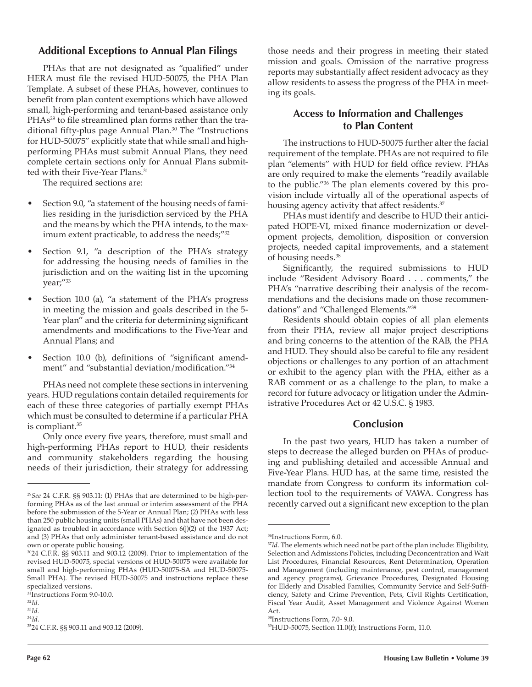#### **Additional Exceptions to Annual Plan Filings**

PHAs that are not designated as "qualified" under HERA must file the revised HUD-50075, the PHA Plan Template. A subset of these PHAs, however, continues to benefit from plan content exemptions which have allowed small, high-performing and tenant-based assistance only PHAs<sup>29</sup> to file streamlined plan forms rather than the traditional fifty-plus page Annual Plan.<sup>30</sup> The "Instructions for HUD-50075" explicitly state that while small and highperforming PHAs must submit Annual Plans, they need complete certain sections only for Annual Plans submitted with their Five-Year Plans.<sup>31</sup>

The required sections are:

- Section 9.0, "a statement of the housing needs of families residing in the jurisdiction serviced by the PHA and the means by which the PHA intends, to the maximum extent practicable, to address the needs;"32
- Section 9.1, "a description of the PHA's strategy for addressing the housing needs of families in the jurisdiction and on the waiting list in the upcoming year;"33
- Section 10.0 (a), "a statement of the PHA's progress in meeting the mission and goals described in the 5- Year plan" and the criteria for determining significant amendments and modifications to the Five-Year and Annual Plans; and
- Section 10.0 (b), definitions of "significant amendment" and "substantial deviation/modification."<sup>34</sup>

PHAs need not complete these sections in intervening years. HUD regulations contain detailed requirements for each of these three categories of partially exempt PHAs which must be consulted to determine if a particular PHA is compliant.35

Only once every five years, therefore, must small and high-performing PHAs report to HUD, their residents and community stakeholders regarding the housing needs of their jurisdiction, their strategy for addressing

those needs and their progress in meeting their stated mission and goals. Omission of the narrative progress reports may substantially affect resident advocacy as they allow residents to assess the progress of the PHA in meeting its goals.

#### **Access to Information and Challenges to Plan Content**

The instructions to HUD-50075 further alter the facial requirement of the template. PHAs are not required to file plan "elements" with HUD for field office review. PHAs are only required to make the elements "readily available to the public."36 The plan elements covered by this provision include virtually all of the operational aspects of housing agency activity that affect residents.<sup>37</sup>

PHAs must identify and describe to HUD their anticipated HOPE-VI, mixed finance modernization or development projects, demolition, disposition or conversion projects, needed capital improvements, and a statement of housing needs.38

Significantly, the required submissions to HUD include "Resident Advisory Board . . . comments," the PHA's "narrative describing their analysis of the recommendations and the decisions made on those recommendations" and "Challenged Elements."39

Residents should obtain copies of all plan elements from their PHA, review all major project descriptions and bring concerns to the attention of the RAB, the PHA and  $HUD$ . They should also be careful to file any resident objections or challenges to any portion of an attachment or exhibit to the agency plan with the PHA, either as a RAB comment or as a challenge to the plan, to make a record for future advocacy or litigation under the Administrative Procedures Act or 42 U.S.C. § 1983.

#### **Conclusion**

In the past two years, HUD has taken a number of steps to decrease the alleged burden on PHAs of producing and publishing detailed and accessible Annual and Five-Year Plans. HUD has, at the same time, resisted the mandate from Congress to conform its information collection tool to the requirements of VAWA. Congress has recently carved out a significant new exception to the plan

<sup>29</sup>*See* 24 C.F.R. §§ 903.11: (1) PHAs that are determined to be high-performing PHAs as of the last annual or interim assessment of the PHA before the submission of the 5-Year or Annual Plan; (2) PHAs with less than 250 public housing units (small PHAs) and that have not been designated as troubled in accordance with Section 6(j)(2) of the 1937 Act; and (3) PHAs that only administer tenant-based assistance and do not own or operate public housing.

<sup>3024</sup> C.F.R. §§ 903.11 and 903.12 (2009). Prior to implementation of the revised HUD-50075, special versions of HUD-50075 were available for small and high-performing PHAs (HUD-50075-SA and HUD-50075- Small PHA). The revised HUD-50075 and instructions replace these specialized versions.

<sup>31</sup>Instructions Form 9.0-10.0.

<sup>32</sup>*Id.*

<sup>33</sup>*Id.* <sup>34</sup>*Id.* 

<sup>3524</sup> C.F.R. §§ 903.11 and 903.12 (2009).

<sup>36</sup>Instructions Form, 6.0.

<sup>&</sup>lt;sup>37</sup>*Id*. The elements which need not be part of the plan include: Eligibility, Selection and Admissions Policies, including Deconcentration and Wait List Procedures, Financial Resources, Rent Determination, Operation and Management (including maintenance, pest control, management and agency programs), Grievance Procedures, Designated Housing for Elderly and Disabled Families, Community Service and Self-Sufficiency, Safety and Crime Prevention, Pets, Civil Rights Certification, Fiscal Year Audit, Asset Management and Violence Against Women Act.

<sup>38</sup>Instructions Form, 7.0- 9.0.

<sup>39</sup>HUD-50075, Section 11.0(f); Instructions Form, 11.0.